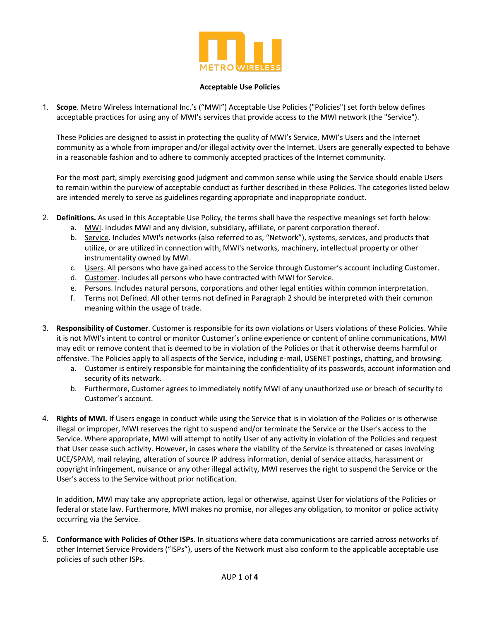

## **Acceptable Use Policies**

1. **Scope**. Metro Wireless International Inc.'s ("MWI") Acceptable Use Policies ("Policies") set forth below defines acceptable practices for using any of MWI's services that provide access to the MWI network (the "Service").

These Policies are designed to assist in protecting the quality of MWI's Service, MWI's Users and the Internet community as a whole from improper and/or illegal activity over the Internet. Users are generally expected to behave in a reasonable fashion and to adhere to commonly accepted practices of the Internet community.

For the most part, simply exercising good judgment and common sense while using the Service should enable Users to remain within the purview of acceptable conduct as further described in these Policies. The categories listed below are intended merely to serve as guidelines regarding appropriate and inappropriate conduct.

- 2. **Definitions.** As used in this Acceptable Use Policy, the terms shall have the respective meanings set forth below:
	- a. MWI. Includes MWI and any division, subsidiary, affiliate, or parent corporation thereof.
	- b. Service. Includes MWI's networks (also referred to as, "Network"), systems, services, and products that utilize, or are utilized in connection with, MWI's networks, machinery, intellectual property or other instrumentality owned by MWI.
	- c. Users. All persons who have gained access to the Service through Customer's account including Customer.
	- d. Customer. Includes all persons who have contracted with MWI for Service.
	- e. Persons. Includes natural persons, corporations and other legal entities within common interpretation.
	- f. Terms not Defined. All other terms not defined in Paragraph 2 should be interpreted with their common meaning within the usage of trade.
- 3. **Responsibility of Customer**. Customer is responsible for its own violations or Users violations of these Policies. While it is not MWI's intent to control or monitor Customer's online experience or content of online communications, MWI may edit or remove content that is deemed to be in violation of the Policies or that it otherwise deems harmful or offensive. The Policies apply to all aspects of the Service, including e-mail, USENET postings, chatting, and browsing.
	- a. Customer is entirely responsible for maintaining the confidentiality of its passwords, account information and security of its network.
	- b. Furthermore, Customer agrees to immediately notify MWI of any unauthorized use or breach of security to Customer's account.
- 4. **Rights of MWI.** If Users engage in conduct while using the Service that is in violation of the Policies or is otherwise illegal or improper, MWI reserves the right to suspend and/or terminate the Service or the User's access to the Service. Where appropriate, MWI will attempt to notify User of any activity in violation of the Policies and request that User cease such activity. However, in cases where the viability of the Service is threatened or cases involving UCE/SPAM, mail relaying, alteration of source IP address information, denial of service attacks, harassment or copyright infringement, nuisance or any other illegal activity, MWI reserves the right to suspend the Service or the User's access to the Service without prior notification.

In addition, MWI may take any appropriate action, legal or otherwise, against User for violations of the Policies or federal or state law. Furthermore, MWI makes no promise, nor alleges any obligation, to monitor or police activity occurring via the Service.

5. **Conformance with Policies of Other ISPs**. In situations where data communications are carried across networks of other Internet Service Providers ("ISPs"), users of the Network must also conform to the applicable acceptable use policies of such other ISPs.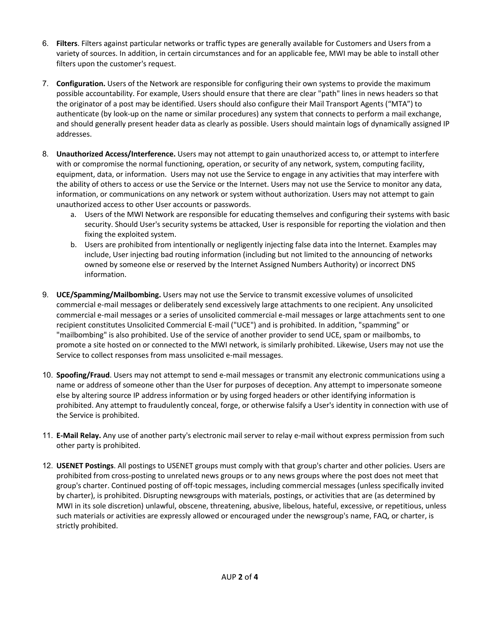- 6. **Filters**. Filters against particular networks or traffic types are generally available for Customers and Users from a variety of sources. In addition, in certain circumstances and for an applicable fee, MWI may be able to install other filters upon the customer's request.
- 7. **Configuration.** Users of the Network are responsible for configuring their own systems to provide the maximum possible accountability. For example, Users should ensure that there are clear "path" lines in news headers so that the originator of a post may be identified. Users should also configure their Mail Transport Agents ("MTA") to authenticate (by look-up on the name or similar procedures) any system that connects to perform a mail exchange, and should generally present header data as clearly as possible. Users should maintain logs of dynamically assigned IP addresses.
- 8. **Unauthorized Access/Interference.** Users may not attempt to gain unauthorized access to, or attempt to interfere with or compromise the normal functioning, operation, or security of any network, system, computing facility, equipment, data, or information. Users may not use the Service to engage in any activities that may interfere with the ability of others to access or use the Service or the Internet. Users may not use the Service to monitor any data, information, or communications on any network or system without authorization. Users may not attempt to gain unauthorized access to other User accounts or passwords.
	- a. Users of the MWI Network are responsible for educating themselves and configuring their systems with basic security. Should User's security systems be attacked, User is responsible for reporting the violation and then fixing the exploited system.
	- b. Users are prohibited from intentionally or negligently injecting false data into the Internet. Examples may include, User injecting bad routing information (including but not limited to the announcing of networks owned by someone else or reserved by the Internet Assigned Numbers Authority) or incorrect DNS information.
- 9. **UCE/Spamming/Mailbombing.** Users may not use the Service to transmit excessive volumes of unsolicited commercial e-mail messages or deliberately send excessively large attachments to one recipient. Any unsolicited commercial e-mail messages or a series of unsolicited commercial e-mail messages or large attachments sent to one recipient constitutes Unsolicited Commercial E-mail ("UCE") and is prohibited. In addition, "spamming" or "mailbombing" is also prohibited. Use of the service of another provider to send UCE, spam or mailbombs, to promote a site hosted on or connected to the MWI network, is similarly prohibited. Likewise, Users may not use the Service to collect responses from mass unsolicited e-mail messages.
- 10. **Spoofing/Fraud**. Users may not attempt to send e-mail messages or transmit any electronic communications using a name or address of someone other than the User for purposes of deception. Any attempt to impersonate someone else by altering source IP address information or by using forged headers or other identifying information is prohibited. Any attempt to fraudulently conceal, forge, or otherwise falsify a User's identity in connection with use of the Service is prohibited.
- 11. **E-Mail Relay.** Any use of another party's electronic mail server to relay e-mail without express permission from such other party is prohibited.
- 12. **USENET Postings**. All postings to USENET groups must comply with that group's charter and other policies. Users are prohibited from cross-posting to unrelated news groups or to any news groups where the post does not meet that group's charter. Continued posting of off-topic messages, including commercial messages (unless specifically invited by charter), is prohibited. Disrupting newsgroups with materials, postings, or activities that are (as determined by MWI in its sole discretion) unlawful, obscene, threatening, abusive, libelous, hateful, excessive, or repetitious, unless such materials or activities are expressly allowed or encouraged under the newsgroup's name, FAQ, or charter, is strictly prohibited.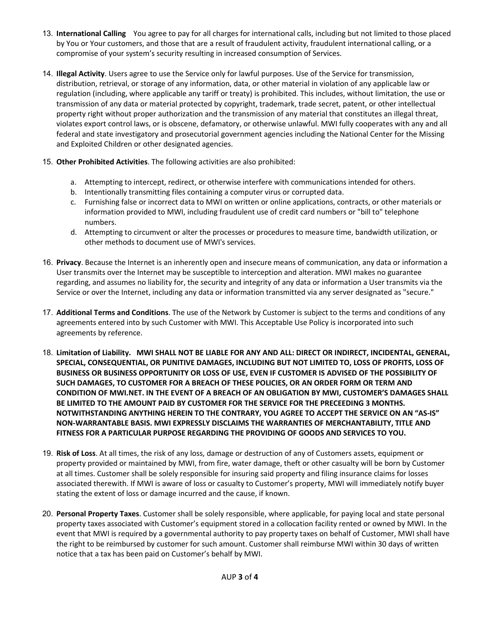- 13. **International Calling** You agree to pay for all charges for international calls, including but not limited to those placed by You or Your customers, and those that are a result of fraudulent activity, fraudulent international calling, or a compromise of your system's security resulting in increased consumption of Services.
- 14. **Illegal Activity**. Users agree to use the Service only for lawful purposes. Use of the Service for transmission, distribution, retrieval, or storage of any information, data, or other material in violation of any applicable law or regulation (including, where applicable any tariff or treaty) is prohibited. This includes, without limitation, the use or transmission of any data or material protected by copyright, trademark, trade secret, patent, or other intellectual property right without proper authorization and the transmission of any material that constitutes an illegal threat, violates export control laws, or is obscene, defamatory, or otherwise unlawful. MWI fully cooperates with any and all federal and state investigatory and prosecutorial government agencies including the National Center for the Missing and Exploited Children or other designated agencies.
- 15. **Other Prohibited Activities**. The following activities are also prohibited:
	- a. Attempting to intercept, redirect, or otherwise interfere with communications intended for others.
	- b. Intentionally transmitting files containing a computer virus or corrupted data.
	- c. Furnishing false or incorrect data to MWI on written or online applications, contracts, or other materials or information provided to MWI, including fraudulent use of credit card numbers or "bill to" telephone numbers.
	- d. Attempting to circumvent or alter the processes or procedures to measure time, bandwidth utilization, or other methods to document use of MWI's services.
- 16. **Privacy**. Because the Internet is an inherently open and insecure means of communication, any data or information a User transmits over the Internet may be susceptible to interception and alteration. MWI makes no guarantee regarding, and assumes no liability for, the security and integrity of any data or information a User transmits via the Service or over the Internet, including any data or information transmitted via any server designated as "secure."
- 17. **Additional Terms and Conditions**. The use of the Network by Customer is subject to the terms and conditions of any agreements entered into by such Customer with MWI. This Acceptable Use Policy is incorporated into such agreements by reference.
- 18. **Limitation of Liability. MWI SHALL NOT BE LIABLE FOR ANY AND ALL: DIRECT OR INDIRECT, INCIDENTAL, GENERAL, SPECIAL, CONSEQUENTIAL, OR PUNITIVE DAMAGES, INCLUDING BUT NOT LIMITED TO, LOSS OF PROFITS, LOSS OF BUSINESS OR BUSINESS OPPORTUNITY OR LOSS OF USE, EVEN IF CUSTOMER IS ADVISED OF THE POSSIBILITY OF SUCH DAMAGES, TO CUSTOMER FOR A BREACH OF THESE POLICIES, OR AN ORDER FORM OR TERM AND CONDITION OF MWI.NET. IN THE EVENT OF A BREACH OF AN OBLIGATION BY MWI, CUSTOMER'S DAMAGES SHALL BE LIMITED TO THE AMOUNT PAID BY CUSTOMER FOR THE SERVICE FOR THE PRECEEDING 3 MONTHS. NOTWITHSTANDING ANYTHING HEREIN TO THE CONTRARY, YOU AGREE TO ACCEPT THE SERVICE ON AN "AS-IS" NON-WARRANTABLE BASIS. MWI EXPRESSLY DISCLAIMS THE WARRANTIES OF MERCHANTABILITY, TITLE AND FITNESS FOR A PARTICULAR PURPOSE REGARDING THE PROVIDING OF GOODS AND SERVICES TO YOU.**
- 19. **Risk of Loss**. At all times, the risk of any loss, damage or destruction of any of Customers assets, equipment or property provided or maintained by MWI, from fire, water damage, theft or other casualty will be born by Customer at all times. Customer shall be solely responsible for insuring said property and filing insurance claims for losses associated therewith. If MWI is aware of loss or casualty to Customer's property, MWI will immediately notify buyer stating the extent of loss or damage incurred and the cause, if known.
- 20. **Personal Property Taxes**. Customer shall be solely responsible, where applicable, for paying local and state personal property taxes associated with Customer's equipment stored in a collocation facility rented or owned by MWI. In the event that MWI is required by a governmental authority to pay property taxes on behalf of Customer, MWI shall have the right to be reimbursed by customer for such amount. Customer shall reimburse MWI within 30 days of written notice that a tax has been paid on Customer's behalf by MWI.